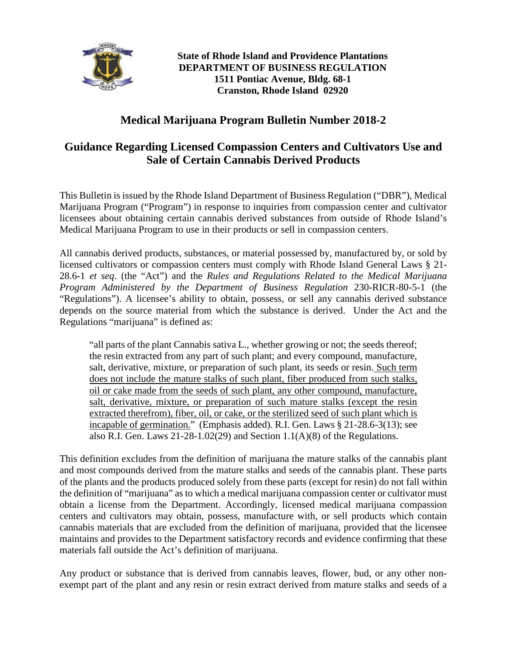

**State of Rhode Island and Providence Plantations DEPARTMENT OF BUSINESS REGULATION 1511 Pontiac Avenue, Bldg. 68-1 Cranston, Rhode Island 02920**

## **Medical Marijuana Program Bulletin Number 2018-2**

## **Guidance Regarding Licensed Compassion Centers and Cultivators Use and Sale of Certain Cannabis Derived Products**

This Bulletin is issued by the Rhode Island Department of Business Regulation ("DBR"), Medical Marijuana Program ("Program") in response to inquiries from compassion center and cultivator licensees about obtaining certain cannabis derived substances from outside of Rhode Island's Medical Marijuana Program to use in their products or sell in compassion centers.

All cannabis derived products, substances, or material possessed by, manufactured by, or sold by licensed cultivators or compassion centers must comply with Rhode Island General Laws § 21- 28.6-1 *et seq*. (the "Act") and the *Rules and Regulations Related to the Medical Marijuana Program Administered by the Department of Business Regulation* 230-RICR-80-5-1 (the "Regulations"). A licensee's ability to obtain, possess, or sell any cannabis derived substance depends on the source material from which the substance is derived. Under the Act and the Regulations "marijuana" is defined as:

"all parts of the plant Cannabis sativa L., whether growing or not; the seeds thereof; the resin extracted from any part of such plant; and every compound, manufacture, salt, derivative, mixture, or preparation of such plant, its seeds or resin. Such term does not include the mature stalks of such plant, fiber produced from such stalks, oil or cake made from the seeds of such plant, any other compound, manufacture, salt, derivative, mixture, or preparation of such mature stalks (except the resin extracted therefrom), fiber, oil, or cake, or the sterilized seed of such plant which is incapable of germination." (Emphasis added). R.I. Gen. Laws § 21-28.6-3(13); see also R.I. Gen. Laws  $21-28-1.02(29)$  and Section  $1.1(A)(8)$  of the Regulations.

This definition excludes from the definition of marijuana the mature stalks of the cannabis plant and most compounds derived from the mature stalks and seeds of the cannabis plant. These parts of the plants and the products produced solely from these parts (except for resin) do not fall within the definition of "marijuana" as to which a medical marijuana compassion center or cultivator must obtain a license from the Department. Accordingly, licensed medical marijuana compassion centers and cultivators may obtain, possess, manufacture with, or sell products which contain cannabis materials that are excluded from the definition of marijuana, provided that the licensee maintains and provides to the Department satisfactory records and evidence confirming that these materials fall outside the Act's definition of marijuana.

Any product or substance that is derived from cannabis leaves, flower, bud, or any other nonexempt part of the plant and any resin or resin extract derived from mature stalks and seeds of a